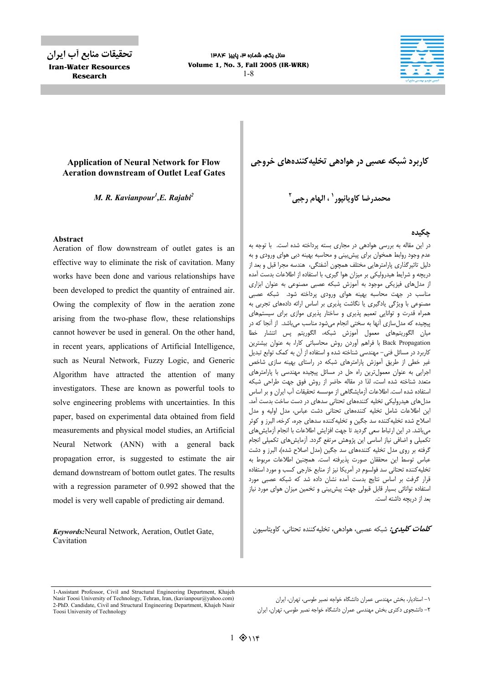

# **Application of Neural Network for Flow Aeration downstream of Outlet Leaf Gates**

*M. R. Kavianpour<sup>1</sup> ,E. Rajabi2*

### **Abstract**

**تحقیقات منابع آب ایران Iran-Water Resources Research** 

Aeration of flow downstream of outlet gates is an effective way to eliminate the risk of cavitation. Many works have been done and various relationships have been developed to predict the quantity of entrained air. Owing the complexity of flow in the aeration zone arising from the two-phase flow, these relationships cannot however be used in general. On the other hand, in recent years, applications of Artificial Intelligence, such as Neural Network, Fuzzy Logic, and Generic Algorithm have attracted the attention of many investigators. These are known as powerful tools to solve engineering problems with uncertainties. In this paper, based on experimental data obtained from field measurements and physical model studies, an Artificial Neural Network (ANN) with a general back propagation error, is suggested to estimate the air demand downstream of bottom outlet gates. The results with a regression parameter of 0.992 showed that the model is very well capable of predicting air demand.

*Keywords:*Neural Network, Aeration, Outlet Gate, Cavitation

**کاربرد شبکه عصبی در هوادهی تخلیهکنندههای خروجی**

**1 محمدرضا کاویانپور 2 ، الهام رجبی**

# **چکیده**

در این مقاله به بررسی هوادهی در مجاری بسته پرداخته شده است . با توجه به عدم وجود روابط همخوان برای پیشبینی و محاسبه بهینه دبی هوای ورودی و به دلیل تاثیرگذاری پارامترهایی مختلف همچون آشفتگی، هندسه مجرا قبل و بعد از دریچه و شرایط هیدرولیکی بر میزان هوا گیری، با استفاده از اطلاعات بدست آمده از مدلهای فیزیکی موجود به آموزش شبکه عصبی مصنوعی به عنوان ابزاری مناسب در جهت محاسبه بهینه هوای ورودی پرداخت ه شود. شبکه عصبی مصنوعی با ویژگی یادگیری یا نگاشت پذیری بر اساس ارائه دادههای تجربی به همراه قدرت و توانایی تعمیم پذیری و ساختار پذیری موازی برای سیستمهای پیچیده که مدلسازی آنها به سختی انجام میشود مناسب میباشد. از آنجا که در میان الگوریتمهای معمول آموزش شبکه، الگوریتم پس انتشار خطا Propagation Back با فراهم آوردن روش محاسباتی کارا، به عنوان بیشترین کاربرد در مسائل فنی- مهندسی شناخته شده و استفاده از آن به کمک توابع تبدیل غیر خطی از طریق آموزش پارامترهای شبکه در راستای بهینه سازی شاخص اجرایی به عنوان معمولترین راه حل در مسائل پیچیده مهندسی با پارامترهای متعدد شناخته شده است، لذا در مقاله حاضر از روش فوق جهت طراحی شبکه استفاده شده است. اطلاعات آزمایشگاهی از موسسه تحقیقات آب ایران و بر اساس مدلهای هیدرولیکی تخلیه کنندههای تحتانی سدهای در دست ساخت بدست آمد. این اطلاعات شامل تخلیه کنندههای تحتانی دشت عباس، مدل اولیه و مدل اصلاح شده تخلیهکننده سد جگین و تخلیهکننده سدهای جره، کرخه، البرز و کوثر میباشد. در این ارتباط سعی گردید تا جهت افزایش اطلاعات با انجام آزمایشهای تکمیلی و اضافی نیاز اساسی این پژوهش مرتفع گردد. آزمایشهای تکمیلی انجام گرفته بر روی مدل تخلیه کنندههای سد جگین (مدل اصلاح شده)، البرز و دشت عباس توسط این محققان صورت پذیرفته است. همچنین اطلاعات مربوط به تخلیهکننده تحتانی سد فولسوم در آمریکا نیز از منابع خارجی کسب و مورد استفاده قرار گرفت بر اساس نتایج بدست آمده نشان داده شد که شبکه عصبی مورد استفاده توانائی بسیار قابل قبولی جهت پیشبینی و تخمین میزان هوای مورد نیاز بعد از دریچه داشته است.

**کلمات کلیدی:** شبکه عصبی، هوادهی، تخلیهکننده تحتانی، کاویتاسیون

<sup>1-</sup>Assistant Professor, Civil and Structural Engineering Department, Khajeh Nasir Toosi University of Technology, Tehran, Iran, (kavianpour@yahoo.com) 2-PhD. Candidate, Civil and Structural Engineering Department, Khajeh Nasir Toosi University of Technology

<sup>-1</sup> استادیار، بخش مهندسی عمران دانشگاه خواجه نصیر طوسی، تهران، ایران

<sup>-2</sup> دانشجوی دکتری بخش مهندسی عمران دانشگاه خواجه نصیر طوسی، تهران، ایران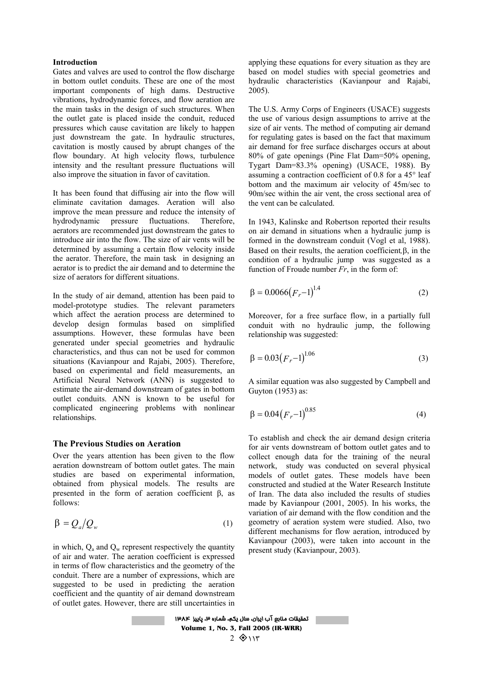## **Introduction**

Gates and valves are used to control the flow discharge in bottom outlet conduits. These are one of the most important components of high dams. Destructive vibrations, hydrodynamic forces, and flow aeration are the main tasks in the design of such structures. When the outlet gate is placed inside the conduit, reduced pressures which cause cavitation are likely to happen just downstream the gate. In hydraulic structures, cavitation is mostly caused by abrupt changes of the flow boundary. At high velocity flows, turbulence intensity and the resultant pressure fluctuations will also improve the situation in favor of cavitation.

It has been found that diffusing air into the flow will eliminate cavitation damages. Aeration will also improve the mean pressure and reduce the intensity of hydrodynamic pressure fluctuations. Therefore, aerators are recommended just downstream the gates to introduce air into the flow. The size of air vents will be determined by assuming a certain flow velocity inside the aerator. Therefore, the main task in designing an aerator is to predict the air demand and to determine the size of aerators for different situations.

In the study of air demand, attention has been paid to model-prototype studies. The relevant parameters which affect the aeration process are determined to develop design formulas based on simplified assumptions. However, these formulas have been generated under special geometries and hydraulic characteristics, and thus can not be used for common situations (Kavianpour and Rajabi, 2005). Therefore, based on experimental and field measurements, an Artificial Neural Network (ANN) is suggested to estimate the air-demand downstream of gates in bottom outlet conduits. ANN is known to be useful for complicated engineering problems with nonlinear relationships.

### **The Previous Studies on Aeration**

Over the years attention has been given to the flow aeration downstream of bottom outlet gates. The main studies are based on experimental information, obtained from physical models. The results are presented in the form of aeration coefficient  $β$ , as follows:

$$
\beta = Q_a / Q_w \tag{1}
$$

in which,  $Q_a$  and  $Q_w$  represent respectively the quantity of air and water. The aeration coefficient is expressed in terms of flow characteristics and the geometry of the conduit. There are a number of expressions, which are suggested to be used in predicting the aeration coefficient and the quantity of air demand downstream of outlet gates. However, there are still uncertainties in

applying these equations for every situation as they are based on model studies with special geometries and hydraulic characteristics (Kavianpour and Rajabi, 2005).

The U.S. Army Corps of Engineers (USACE) suggests the use of various design assumptions to arrive at the size of air vents. The method of computing air demand for regulating gates is based on the fact that maximum air demand for free surface discharges occurs at about 80% of gate openings (Pine Flat Dam=50% opening, Tygart Dam=83.3% opening) (USACE, 1988). By assuming a contraction coefficient of 0.8 for a 45° leaf bottom and the maximum air velocity of 45m/sec to 90m/sec within the air vent, the cross sectional area of the vent can be calculated.

In 1943, Kalinske and Robertson reported their results on air demand in situations when a hydraulic jump is formed in the downstream conduit (Vogl et al, 1988). Based on their results, the aeration coefficient*,*β, in the condition of a hydraulic jump was suggested as a function of Froude number *Fr*, in the form of:

$$
\beta = 0.0066(F_r - 1)^{1.4}
$$
 (2)

Moreover, for a free surface flow, in a partially full conduit with no hydraulic jump, the following relationship was suggested:

$$
\beta = 0.03(F_r - 1)^{1.06} \tag{3}
$$

A similar equation was also suggested by Campbell and Guyton (1953) as:

$$
\beta = 0.04 (F_r - 1)^{0.85} \tag{4}
$$

To establish and check the air demand design criteria for air vents downstream of bottom outlet gates and to collect enough data for the training of the neural network, study was conducted on several physical models of outlet gates. These models have been constructed and studied at the Water Research Institute of Iran. The data also included the results of studies made by Kavianpour (2001, 2005). In his works, the variation of air demand with the flow condition and the geometry of aeration system were studied. Also, two different mechanisms for flow aeration, introduced by Kavianpour (2003), were taken into account in the present study (Kavianpour, 2003).

تحقيقات منابع آب ايران، سال يکم، شماره ،٣ پاييز ۱۳۸۴ **Volume 1, No. 3, Fall 2005 (IR-WRR)**   $2 \otimes 117$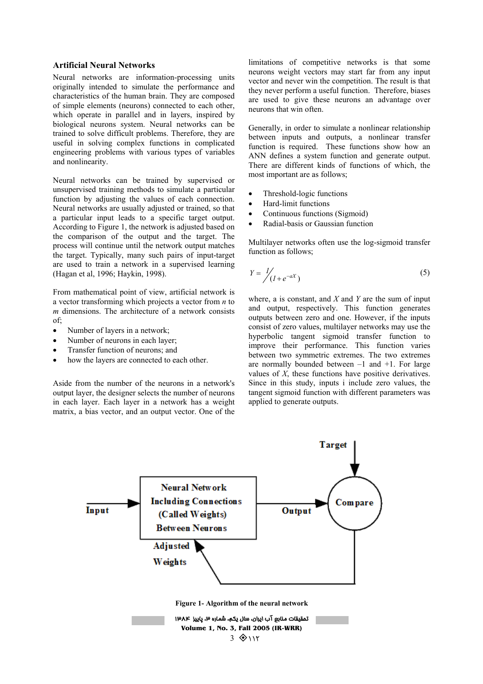## **Artificial Neural Networks**

Neural networks are information-processing units originally intended to simulate the performance and characteristics of the human brain. They are composed of simple elements (neurons) connected to each other, which operate in parallel and in layers, inspired by biological neurons system. Neural networks can be trained to solve difficult problems. Therefore, they are useful in solving complex functions in complicated engineering problems with various types of variables and nonlinearity.

Neural networks can be trained by supervised or unsupervised training methods to simulate a particular function by adjusting the values of each connection. Neural networks are usually adjusted or trained, so that a particular input leads to a specific target output. According to Figure 1, the network is adjusted based on the comparison of the output and the target. The process will continue until the network output matches the target. Typically, many such pairs of input-target are used to train a network in a supervised learning (Hagan et al, 1996; Haykin, 1998).

From mathematical point of view, artificial network is a vector transforming which projects a vector from *n* to *m* dimensions. The architecture of a network consists of;

- Number of layers in a network;
- Number of neurons in each layer;
- Transfer function of neurons; and
- how the layers are connected to each other.

Aside from the number of the neurons in a network's output layer, the designer selects the number of neurons in each layer. Each layer in a network has a weight matrix, a bias vector, and an output vector. One of the

limitations of competitive networks is that some neurons weight vectors may start far from any input vector and never win the competition. The result is that they never perform a useful function. Therefore, biases are used to give these neurons an advantage over neurons that win often.

Generally, in order to simulate a nonlinear relationship between inputs and outputs, a nonlinear transfer function is required. These functions show how an ANN defines a system function and generate output. There are different kinds of functions of which, the most important are as follows;

- Threshold-logic functions
- Hard-limit functions
- Continuous functions (Sigmoid)
- Radial-basis or Gaussian function

Multilayer networks often use the log-sigmoid transfer function as follows;

$$
Y = \frac{1}{\sqrt{(1 + e^{-aX})}}\tag{5}
$$

where, a is constant, and *X* and *Y* are the sum of input and output, respectively. This function generates outputs between zero and one. However, if the inputs consist of zero values, multilayer networks may use the hyperbolic tangent sigmoid transfer function to improve their performance. This function varies between two symmetric extremes. The two extremes are normally bounded between  $-1$  and  $+1$ . For large values of *X*, these functions have positive derivatives. Since in this study, inputs i include zero values, the tangent sigmoid function with different parameters was applied to generate outputs.

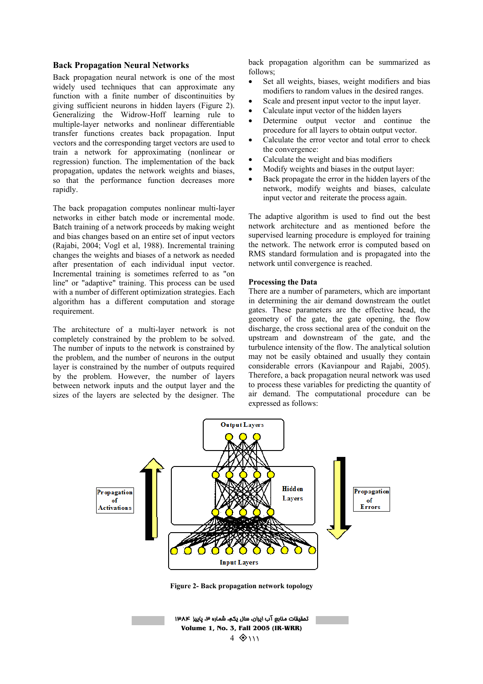### **Back Propagation Neural Networks**

Back propagation neural network is one of the most widely used techniques that can approximate any function with a finite number of discontinuities by giving sufficient neurons in hidden layers (Figure 2). Generalizing the Widrow-Hoff learning rule to multiple-layer networks and nonlinear differentiable transfer functions creates back propagation. Input vectors and the corresponding target vectors are used to train a network for approximating (nonlinear or regression) function. The implementation of the back propagation, updates the network weights and biases, so that the performance function decreases more rapidly.

The back propagation computes nonlinear multi-layer networks in either batch mode or incremental mode. Batch training of a network proceeds by making weight and bias changes based on an entire set of input vectors (Rajabi, 2004; Vogl et al, 1988). Incremental training changes the weights and biases of a network as needed after presentation of each individual input vector. Incremental training is sometimes referred to as "on line" or "adaptive" training. This process can be used with a number of different optimization strategies. Each algorithm has a different computation and storage requirement.

The architecture of a multi-layer network is not completely constrained by the problem to be solved. The number of inputs to the network is constrained by the problem, and the number of neurons in the output layer is constrained by the number of outputs required by the problem. However, the number of layers between network inputs and the output layer and the sizes of the layers are selected by the designer. The

back propagation algorithm can be summarized as follows;

- Set all weights, biases, weight modifiers and bias modifiers to random values in the desired ranges.
- Scale and present input vector to the input layer.
- Calculate input vector of the hidden layers
- Determine output vector and continue the procedure for all layers to obtain output vector.
- Calculate the error vector and total error to check the convergence:
- Calculate the weight and bias modifiers
- Modify weights and biases in the output layer:
- Back propagate the error in the hidden layers of the network, modify weights and biases, calculate input vector and reiterate the process again.

The adaptive algorithm is used to find out the best network architecture and as mentioned before the supervised learning procedure is employed for training the network. The network error is computed based on RMS standard formulation and is propagated into the network until convergence is reached.

#### **Processing the Data**

There are a number of parameters, which are important in determining the air demand downstream the outlet gates. These parameters are the effective head, the geometry of the gate, the gate opening, the flow discharge, the cross sectional area of the conduit on the upstream and downstream of the gate, and the turbulence intensity of the flow. The analytical solution may not be easily obtained and usually they contain considerable errors (Kavianpour and Rajabi, 2005). Therefore, a back propagation neural network was used to process these variables for predicting the quantity of air demand. The computational procedure can be expressed as follows:



**Figure 2- Back propagation network topology** 

| تمقيقات منابع آب ايران، سال يكم، شماره ٣، پاييز ١٣٨٤ |  |
|------------------------------------------------------|--|
| Volume 1, No. 3, Fall 2005 (IR-WRR)                  |  |
| $4 \otimes 11$                                       |  |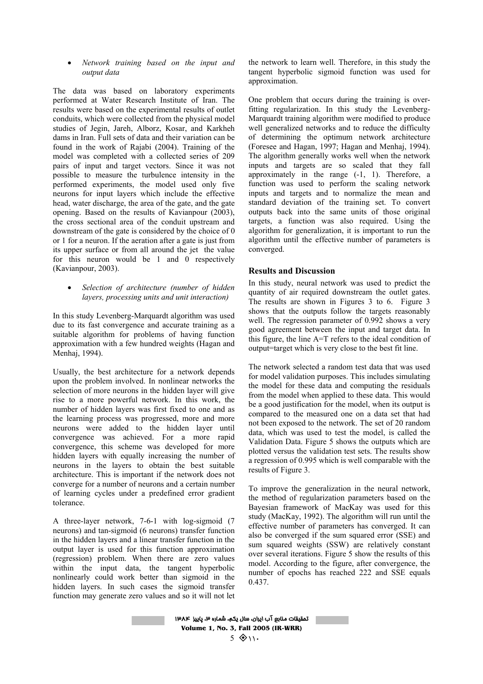• *Network training based on the input and output data* 

The data was based on laboratory experiments performed at Water Research Institute of Iran. The results were based on the experimental results of outlet conduits, which were collected from the physical model studies of Jegin, Jareh, Alborz, Kosar, and Karkheh dams in Iran. Full sets of data and their variation can be found in the work of Rajabi (2004). Training of the model was completed with a collected series of 209 pairs of input and target vectors. Since it was not possible to measure the turbulence intensity in the performed experiments, the model used only five neurons for input layers which include the effective head, water discharge, the area of the gate, and the gate opening. Based on the results of Kavianpour (2003), the cross sectional area of the conduit upstream and downstream of the gate is considered by the choice of 0 or 1 for a neuron. If the aeration after a gate is just from its upper surface or from all around the jet the value for this neuron would be 1 and 0 respectively (Kavianpour, 2003).

• *Selection of architecture (number of hidden layers, processing units and unit interaction)* 

In this study Levenberg-Marquardt algorithm was used due to its fast convergence and accurate training as a suitable algorithm for problems of having function approximation with a few hundred weights (Hagan and Menhaj, 1994).

Usually, the best architecture for a network depends upon the problem involved. In nonlinear networks the selection of more neurons in the hidden layer will give rise to a more powerful network. In this work, the number of hidden layers was first fixed to one and as the learning process was progressed, more and more neurons were added to the hidden layer until convergence was achieved. For a more rapid convergence, this scheme was developed for more hidden layers with equally increasing the number of neurons in the layers to obtain the best suitable architecture. This is important if the network does not converge for a number of neurons and a certain number of learning cycles under a predefined error gradient tolerance.

A three-layer network, 7-6-1 with log-sigmoid (7 neurons) and tan-sigmoid (6 neurons) transfer function in the hidden layers and a linear transfer function in the output layer is used for this function approximation (regression) problem. When there are zero values within the input data, the tangent hyperbolic nonlinearly could work better than sigmoid in the hidden layers. In such cases the sigmoid transfer function may generate zero values and so it will not let the network to learn well. Therefore, in this study the tangent hyperbolic sigmoid function was used for approximation.

One problem that occurs during the training is overfitting regularization. In this study the Levenberg-Marquardt training algorithm were modified to produce well generalized networks and to reduce the difficulty of determining the optimum network architecture (Foresee and Hagan, 1997; Hagan and Menhaj, 1994). The algorithm generally works well when the network inputs and targets are so scaled that they fall approximately in the range (-1, 1). Therefore, a function was used to perform the scaling network inputs and targets and to normalize the mean and standard deviation of the training set. To convert outputs back into the same units of those original targets, a function was also required. Using the algorithm for generalization, it is important to run the algorithm until the effective number of parameters is converged.

## **Results and Discussion**

In this study, neural network was used to predict the quantity of air required downstream the outlet gates. The results are shown in Figures 3 to 6. Figure 3 shows that the outputs follow the targets reasonably well. The regression parameter of 0.992 shows a very good agreement between the input and target data. In this figure, the line A=T refers to the ideal condition of output=target which is very close to the best fit line.

The network selected a random test data that was used for model validation purposes. This includes simulating the model for these data and computing the residuals from the model when applied to these data. This would be a good justification for the model, when its output is compared to the measured one on a data set that had not been exposed to the network. The set of 20 random data, which was used to test the model, is called the Validation Data. Figure 5 shows the outputs which are plotted versus the validation test sets. The results show a regression of 0.995 which is well comparable with the results of Figure 3.

To improve the generalization in the neural network, the method of regularization parameters based on the Bayesian framework of MacKay was used for this study (MacKay, 1992). The algorithm will run until the effective number of parameters has converged. It can also be converged if the sum squared error (SSE) and sum squared weights (SSW) are relatively constant over several iterations. Figure 5 show the results of this model. According to the figure, after convergence, the number of epochs has reached 222 and SSE equals 0.437.

تمقيقات منابع آب ايران، سال يکم، شماره ٣، پاييز ١٣٨۴ **Volume 1, No. 3, Fall 2005 (IR-WRR)**   $5 \& 11$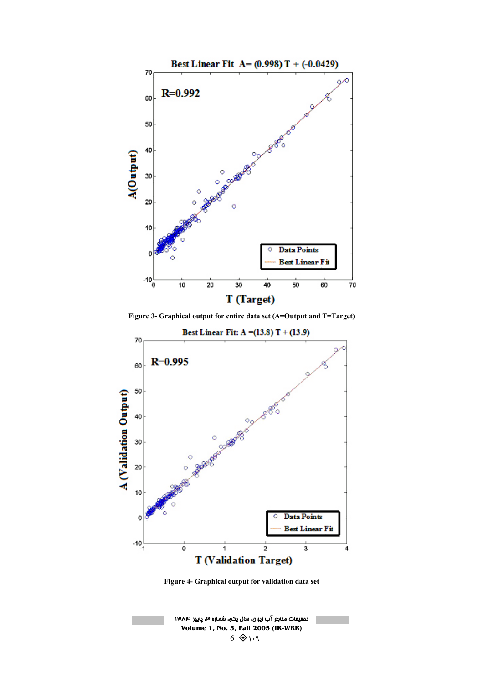

**Figure 3- Graphical output for entire data set (A=Output and T=Target)** 



**Figure 4- Graphical output for validation data set** 

| تمقيقات منابع آب ايران، سال يكم، شماره ٣، پاييز ١٣٨٤ |
|------------------------------------------------------|
| Volume 1, No. 3, Fall 2005 (IR-WRR)                  |
| $6 \Leftrightarrow$ 1.9                              |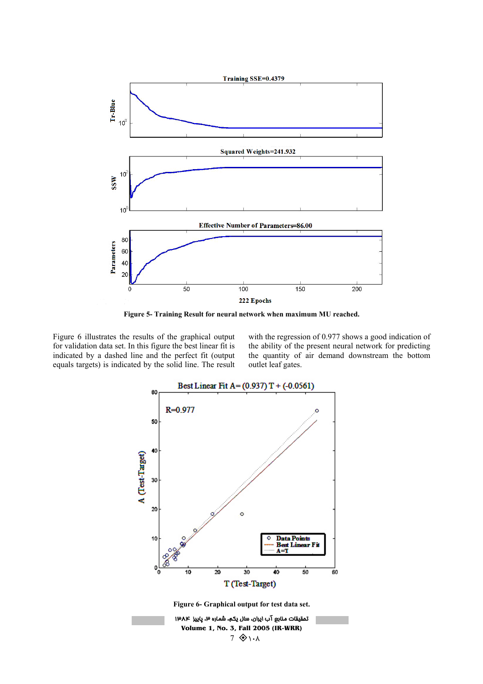

**Figure 5- Training Result for neural network when maximum MU reached.** 

Figure 6 illustrates the results of the graphical output for validation data set. In this figure the best linear fit is indicated by a dashed line and the perfect fit (output equals targets) is indicated by the solid line. The result with the regression of 0.977 shows a good indication of the ability of the present neural network for predicting the quantity of air demand downstream the bottom outlet leaf gates.



**Volume 1, No. 3, Fall 2005 (IR-WRR)** 

 $7 \Leftrightarrow \ldots$